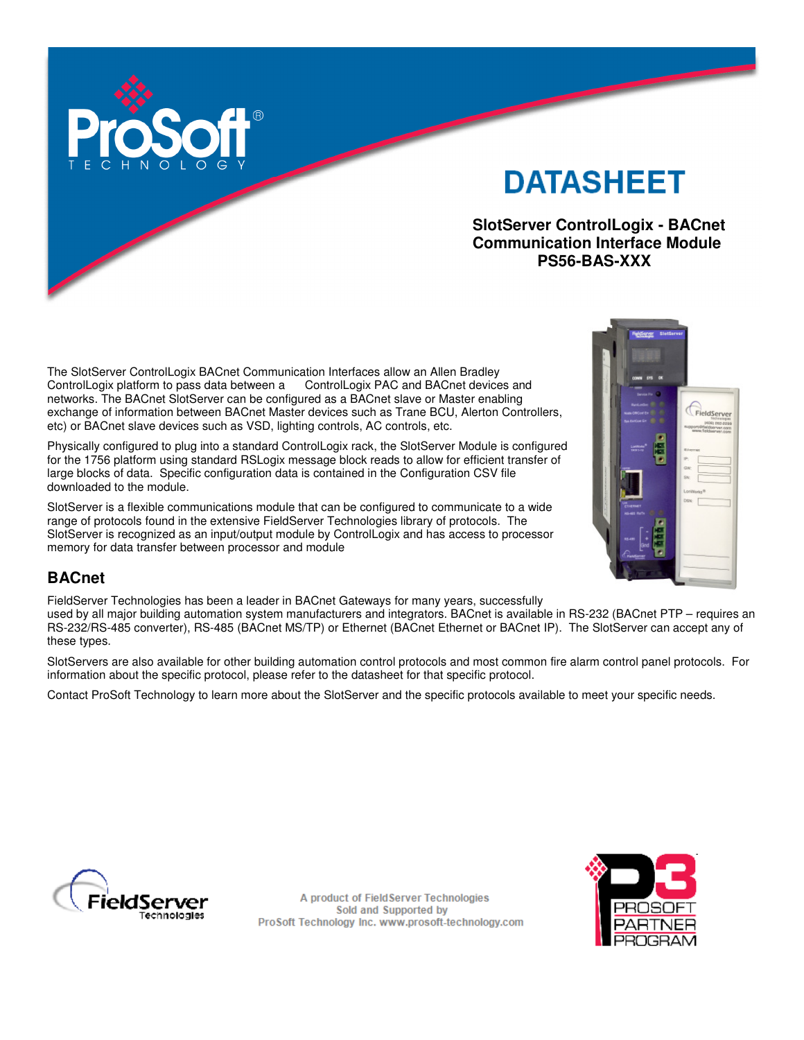

# **DATASHEET**

 **SlotServer ControlLogix - BACnet Communication Interface Module PS56-BAS-XXX** 

The SlotServer ControlLogix BACnet Communication Interfaces allow an Allen Bradley ControlLogix platform to pass data between a ControlLogix PAC and BACnet devices and networks. The BACnet SlotServer can be configured as a BACnet slave or Master enabling exchange of information between BACnet Master devices such as Trane BCU, Alerton Controllers, etc) or BACnet slave devices such as VSD, lighting controls, AC controls, etc.

Physically configured to plug into a standard ControlLogix rack, the SlotServer Module is configured for the 1756 platform using standard RSLogix message block reads to allow for efficient transfer of large blocks of data. Specific configuration data is contained in the Configuration CSV file downloaded to the module.

SlotServer is a flexible communications module that can be configured to communicate to a wide range of protocols found in the extensive FieldServer Technologies library of protocols. The SlotServer is recognized as an input/output module by ControlLogix and has access to processor memory for data transfer between processor and module

# FieldServer

# **BACnet**

FieldServer Technologies has been a leader in BACnet Gateways for many years, successfully

used by all major building automation system manufacturers and integrators. BACnet is available in RS-232 (BACnet PTP – requires an RS-232/RS-485 converter), RS-485 (BACnet MS/TP) or Ethernet (BACnet Ethernet or BACnet IP). The SlotServer can accept any of these types.

SlotServers are also available for other building automation control protocols and most common fire alarm control panel protocols. For information about the specific protocol, please refer to the datasheet for that specific protocol.

Contact ProSoft Technology to learn more about the SlotServer and the specific protocols available to meet your specific needs.



A product of FieldServer Technologies Sold and Supported by ProSoft Technology Inc. www.prosoft-technology.com